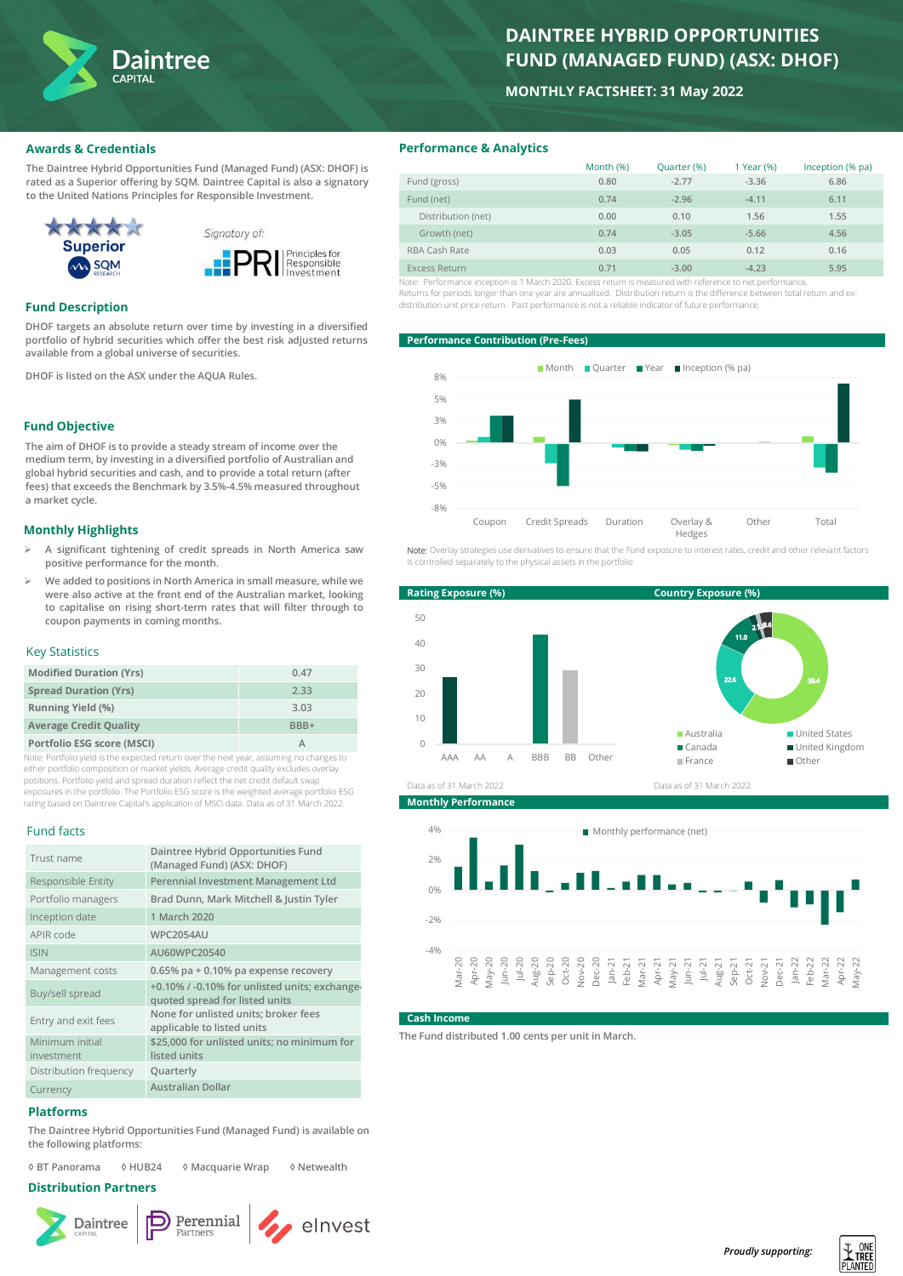

# **DAINTREE HYBRID OPPORTUNITIES FUND (MANAGED FUND) (ASX: DHOF)**

# **MONTHLY FACTSHEET: 31 May 2022**

# **Awards & Credentials**

**The Daintree Hybrid Opportunities Fund (Managed Fund) (ASX: DHOF) is rated as a Superior offering by SQM. Daintree Capital is also a signatory to the United Nations Principles for Responsible Investment.**



## **Fund Description**

**DHOF targets an absolute return over time by investing in a diversified portfolio of hybrid securities which offer the best risk adjusted returns available from a global universe of securities.**

**DHOF is listed on the ASX under the AQUA Rules.**

# **Fund Objective**

**The aim of DHOF is to provide a steady stream of income over the medium term, by investing in a diversified portfolio of Australian and global hybrid securities and cash, and to provide a total return (after fees) that exceeds the Benchmark by 3.5%-4.5% measured throughout a market cycle.**

#### **Monthly Highlights**

- ➢ **A significant tightening of credit spreads in North America saw positive performance for the month.**
- ➢ **We added to positions in North America in small measure, while we were also active at the front end of the Australian market, looking to capitalise on rising short-term rates that will filter through to coupon payments in coming months.**

#### Key Statistics

| <b>Modified Duration (Yrs)</b> | 0.47 |
|--------------------------------|------|
| <b>Spread Duration (Yrs)</b>   | 2.33 |
| <b>Running Yield (%)</b>       | 3.03 |
| <b>Average Credit Quality</b>  | RRR+ |
| Portfolio ESG score (MSCI)     |      |

Note: Portfolio yield is the expected return over the next year, assuming no changes to either portfolio composition or market yields. Average credit quality excludes overlay positions. Portfolio yield and spread duration reflect the net credit default swap exposures in the portfolio. The Portfolio ESG score is the weighted average portfolio ESG rating based on Daintree Capital's application of MSCI data. Data as of 31 March 2022.

## Fund facts

| Trust name             | Daintree Hybrid Opportunities Fund<br>(Managed Fund) (ASX: DHOF)                |  |  |  |
|------------------------|---------------------------------------------------------------------------------|--|--|--|
| Responsible Entity     | Perennial Investment Management Ltd                                             |  |  |  |
| Portfolio managers     | Brad Dunn, Mark Mitchell & Justin Tyler                                         |  |  |  |
| Inception date         | 1 March 2020                                                                    |  |  |  |
| APIR code              | <b>WPC2054AU</b>                                                                |  |  |  |
| <b>ISIN</b>            | AU60WPC20540                                                                    |  |  |  |
| Management costs       | $0.65\%$ pa + 0.10% pa expense recovery                                         |  |  |  |
| Buy/sell spread        | +0.10% / -0.10% for unlisted units; exchange-<br>quoted spread for listed units |  |  |  |
| Entry and exit fees    | None for unlisted units; broker fees<br>applicable to listed units              |  |  |  |
| Minimum initial        | \$25,000 for unlisted units; no minimum for                                     |  |  |  |
| investment             | listed units                                                                    |  |  |  |
| Distribution frequency | Quarterly                                                                       |  |  |  |
| Currency               | <b>Australian Dollar</b>                                                        |  |  |  |

#### **Platforms**

**The Daintree Hybrid Opportunities Fund (Managed Fund) is available on the following platforms:**

**◊ BT Panorama ◊ HUB24 ◊ Macquarie Wrap ◊ Netwealth**

# **Distribution Partners**





elnvest

# **Performance & Analytics**

|                                                                                                           | Month (%) | Quarter (%) | 1 Year (%) | Inception (% pa) |
|-----------------------------------------------------------------------------------------------------------|-----------|-------------|------------|------------------|
| Fund (gross)                                                                                              | 0.80      | $-2.77$     | $-3.36$    | 6.86             |
| Fund (net)                                                                                                | 0.74      | $-2.96$     | $-4.11$    | 6.11             |
| Distribution (net)                                                                                        | 0.00      | 0.10        | 1.56       | 1.55             |
| Growth (net)                                                                                              | 0.74      | $-3.05$     | $-5.66$    | 4.56             |
| RBA Cash Rate                                                                                             | 0.03      | 0.05        | 0.12       | 0.16             |
| <b>Excess Return</b>                                                                                      | 0.71      | $-3.00$     | $-4.23$    | 5.95             |
| Note: Performance inception is 1 March 2020. Excess return is measured with reference to net performance. |           |             |            |                  |

Returns for periods longer than one year are annualised. Distribution return is the difference between total return and exdistribution unit price return. Past performance is not a reliable indicator of future performance.

#### **Performance Contribution (Pre-Fees)**



Note: Overlay strategies use derivatives to ensure that the Fund exposure to interest rates, credit and other relevant factors is controlled separately to the physical assets in the portfolio



**Monthly Performance**



#### **Cash Income**

**The Fund distributed 1.00 cents per unit in March.**